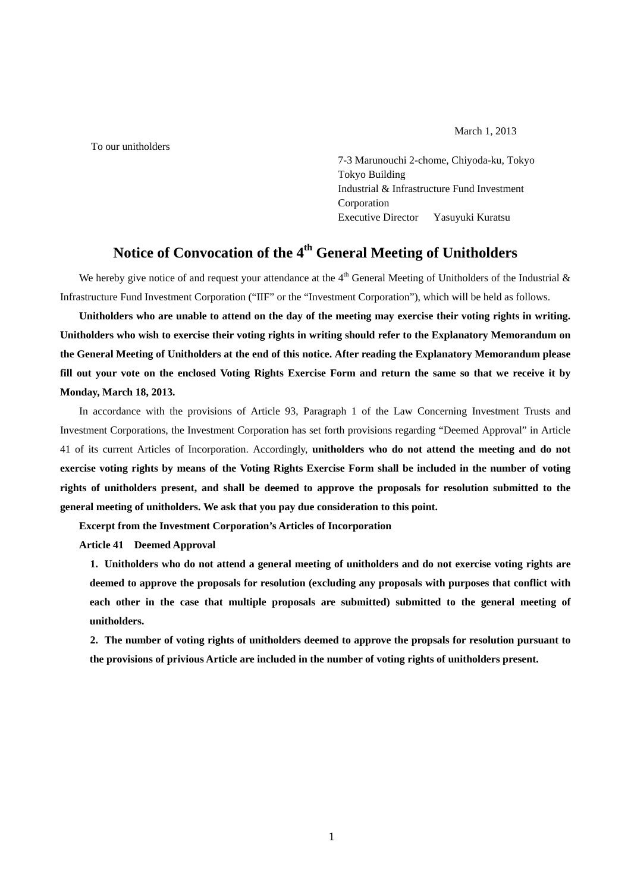March 1, 2013

To our unitholders

 7-3 Marunouchi 2-chome, Chiyoda-ku, Tokyo Tokyo Building Industrial & Infrastructure Fund Investment Corporation Executive Director Yasuyuki Kuratsu

# **Notice of Convocation of the 4th General Meeting of Unitholders**

We hereby give notice of and request your attendance at the  $4<sup>th</sup>$  General Meeting of Unitholders of the Industrial & Infrastructure Fund Investment Corporation ("IIF" or the "Investment Corporation"), which will be held as follows.

**Unitholders who are unable to attend on the day of the meeting may exercise their voting rights in writing. Unitholders who wish to exercise their voting rights in writing should refer to the Explanatory Memorandum on the General Meeting of Unitholders at the end of this notice. After reading the Explanatory Memorandum please fill out your vote on the enclosed Voting Rights Exercise Form and return the same so that we receive it by Monday, March 18, 2013.** 

In accordance with the provisions of Article 93, Paragraph 1 of the Law Concerning Investment Trusts and Investment Corporations, the Investment Corporation has set forth provisions regarding "Deemed Approval" in Article 41 of its current Articles of Incorporation. Accordingly, **unitholders who do not attend the meeting and do not exercise voting rights by means of the Voting Rights Exercise Form shall be included in the number of voting rights of unitholders present, and shall be deemed to approve the proposals for resolution submitted to the general meeting of unitholders. We ask that you pay due consideration to this point.** 

**Excerpt from the Investment Corporation's Articles of Incorporation** 

**Article 41 Deemed Approval** 

**1. Unitholders who do not attend a general meeting of unitholders and do not exercise voting rights are deemed to approve the proposals for resolution (excluding any proposals with purposes that conflict with**  each other in the case that multiple proposals are submitted) submitted to the general meeting of **unitholders.** 

**2. The number of voting rights of unitholders deemed to approve the propsals for resolution pursuant to the provisions of privious Article are included in the number of voting rights of unitholders present.**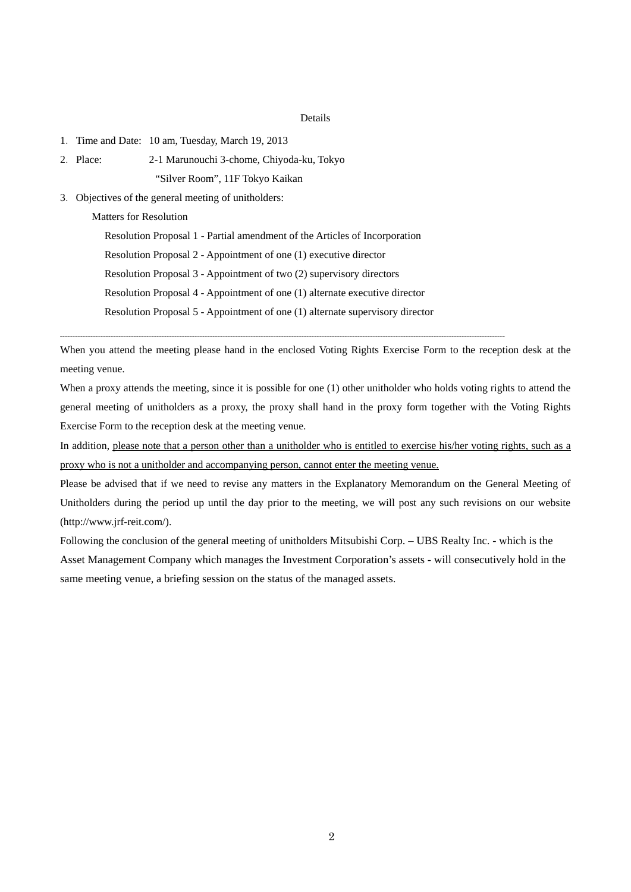#### Details

- 1.Time and Date: 10 am, Tuesday, March 19, 2013
- 2.Place: 2-1 Marunouchi 3-chome, Chiyoda-ku, Tokyo

"Silver Room", 11F Tokyo Kaikan

3.Objectives of the general meeting of unitholders:

Matters for Resolution

Resolution Proposal 1 - Partial amendment of the Articles of Incorporation

Resolution Proposal 2 - Appointment of one (1) executive director

Resolution Proposal 3 - Appointment of two (2) supervisory directors

Resolution Proposal 4 - Appointment of one (1) alternate executive director

Resolution Proposal 5 - Appointment of one (1) alternate supervisory director

When you attend the meeting please hand in the enclosed Voting Rights Exercise Form to the reception desk at the meeting venue.

When a proxy attends the meeting, since it is possible for one (1) other unitholder who holds voting rights to attend the general meeting of unitholders as a proxy, the proxy shall hand in the proxy form together with the Voting Rights Exercise Form to the reception desk at the meeting venue.

In addition, please note that a person other than a unitholder who is entitled to exercise his/her voting rights, such as a proxy who is not a unitholder and accompanying person, cannot enter the meeting venue.

Please be advised that if we need to revise any matters in the Explanatory Memorandum on the General Meeting of Unitholders during the period up until the day prior to the meeting, we will post any such revisions on our website (http://www.jrf-reit.com/).

Following the conclusion of the general meeting of unitholders Mitsubishi Corp. – UBS Realty Inc. - which is the Asset Management Company which manages the Investment Corporation's assets - will consecutively hold in the same meeting venue, a briefing session on the status of the managed assets.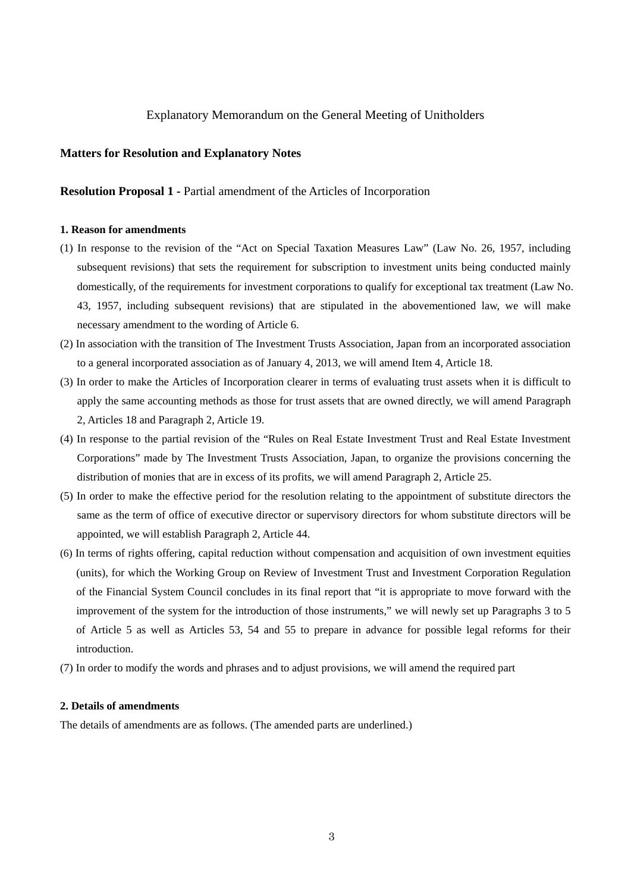## Explanatory Memorandum on the General Meeting of Unitholders

### **Matters for Resolution and Explanatory Notes**

#### **Resolution Proposal 1 -** Partial amendment of the Articles of Incorporation

#### **1. Reason for amendments**

- (1) In response to the revision of the "Act on Special Taxation Measures Law" (Law No. 26, 1957, including subsequent revisions) that sets the requirement for subscription to investment units being conducted mainly domestically, of the requirements for investment corporations to qualify for exceptional tax treatment (Law No. 43, 1957, including subsequent revisions) that are stipulated in the abovementioned law, we will make necessary amendment to the wording of Article 6.
- (2) In association with the transition of The Investment Trusts Association, Japan from an incorporated association to a general incorporated association as of January 4, 2013, we will amend Item 4, Article 18.
- (3) In order to make the Articles of Incorporation clearer in terms of evaluating trust assets when it is difficult to apply the same accounting methods as those for trust assets that are owned directly, we will amend Paragraph 2, Articles 18 and Paragraph 2, Article 19.
- (4) In response to the partial revision of the "Rules on Real Estate Investment Trust and Real Estate Investment Corporations" made by The Investment Trusts Association, Japan, to organize the provisions concerning the distribution of monies that are in excess of its profits, we will amend Paragraph 2, Article 25.
- (5) In order to make the effective period for the resolution relating to the appointment of substitute directors the same as the term of office of executive director or supervisory directors for whom substitute directors will be appointed, we will establish Paragraph 2, Article 44.
- (6) In terms of rights offering, capital reduction without compensation and acquisition of own investment equities (units), for which the Working Group on Review of Investment Trust and Investment Corporation Regulation of the Financial System Council concludes in its final report that "it is appropriate to move forward with the improvement of the system for the introduction of those instruments," we will newly set up Paragraphs 3 to 5 of Article 5 as well as Articles 53, 54 and 55 to prepare in advance for possible legal reforms for their introduction.
- (7) In order to modify the words and phrases and to adjust provisions, we will amend the required part

#### **2. Details of amendments**

The details of amendments are as follows. (The amended parts are underlined.)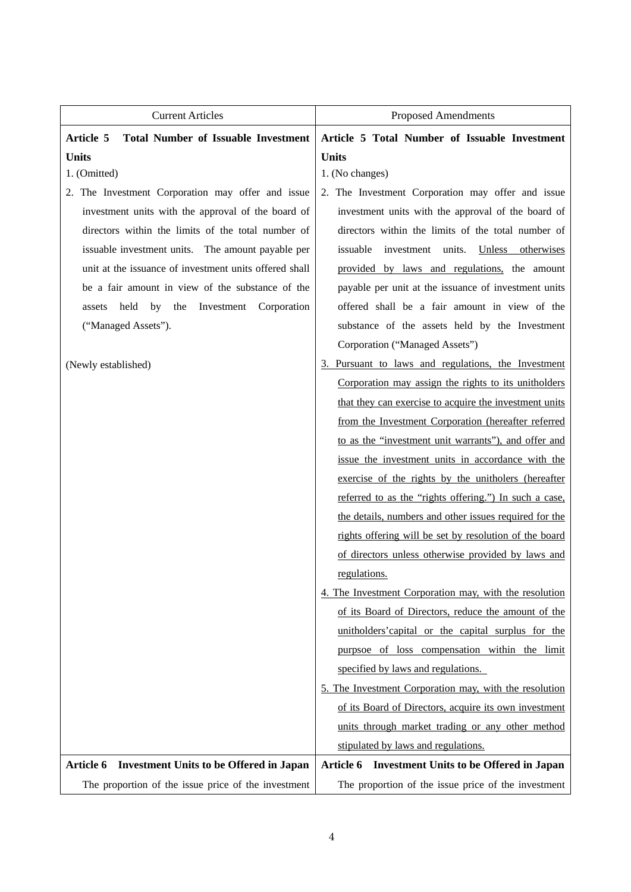| <b>Current Articles</b>                                     | <b>Proposed Amendments</b>                             |  |  |
|-------------------------------------------------------------|--------------------------------------------------------|--|--|
| <b>Total Number of Issuable Investment</b><br>Article 5     | Article 5 Total Number of Issuable Investment          |  |  |
| <b>Units</b>                                                | <b>Units</b>                                           |  |  |
| 1. (Omitted)                                                | 1. (No changes)                                        |  |  |
| 2. The Investment Corporation may offer and issue           | 2. The Investment Corporation may offer and issue      |  |  |
| investment units with the approval of the board of          | investment units with the approval of the board of     |  |  |
| directors within the limits of the total number of          | directors within the limits of the total number of     |  |  |
| issuable investment units. The amount payable per           | issuable<br>investment units. Unless otherwises        |  |  |
| unit at the issuance of investment units offered shall      | provided by laws and regulations, the amount           |  |  |
| be a fair amount in view of the substance of the            | payable per unit at the issuance of investment units   |  |  |
| held<br>by the<br>Investment Corporation<br>assets          | offered shall be a fair amount in view of the          |  |  |
| ("Managed Assets").                                         | substance of the assets held by the Investment         |  |  |
|                                                             | Corporation ("Managed Assets")                         |  |  |
| (Newly established)                                         | 3. Pursuant to laws and regulations, the Investment    |  |  |
|                                                             | Corporation may assign the rights to its unitholders   |  |  |
|                                                             | that they can exercise to acquire the investment units |  |  |
|                                                             | from the Investment Corporation (hereafter referred    |  |  |
|                                                             | to as the "investment unit warrants"), and offer and   |  |  |
|                                                             | issue the investment units in accordance with the      |  |  |
|                                                             | exercise of the rights by the unitholers (hereafter    |  |  |
|                                                             | referred to as the "rights offering.") In such a case, |  |  |
|                                                             | the details, numbers and other issues required for the |  |  |
|                                                             | rights offering will be set by resolution of the board |  |  |
|                                                             | of directors unless otherwise provided by laws and     |  |  |
|                                                             | regulations.                                           |  |  |
|                                                             | 4. The Investment Corporation may, with the resolution |  |  |
|                                                             | of its Board of Directors, reduce the amount of the    |  |  |
|                                                             | unitholders' capital or the capital surplus for the    |  |  |
|                                                             | purpsoe of loss compensation within the limit          |  |  |
|                                                             | specified by laws and regulations.                     |  |  |
|                                                             | 5. The Investment Corporation may, with the resolution |  |  |
|                                                             | of its Board of Directors, acquire its own investment  |  |  |
|                                                             | units through market trading or any other method       |  |  |
|                                                             | stipulated by laws and regulations.                    |  |  |
| <b>Investment Units to be Offered in Japan</b><br>Article 6 | Article 6 Investment Units to be Offered in Japan      |  |  |
| The proportion of the issue price of the investment         | The proportion of the issue price of the investment    |  |  |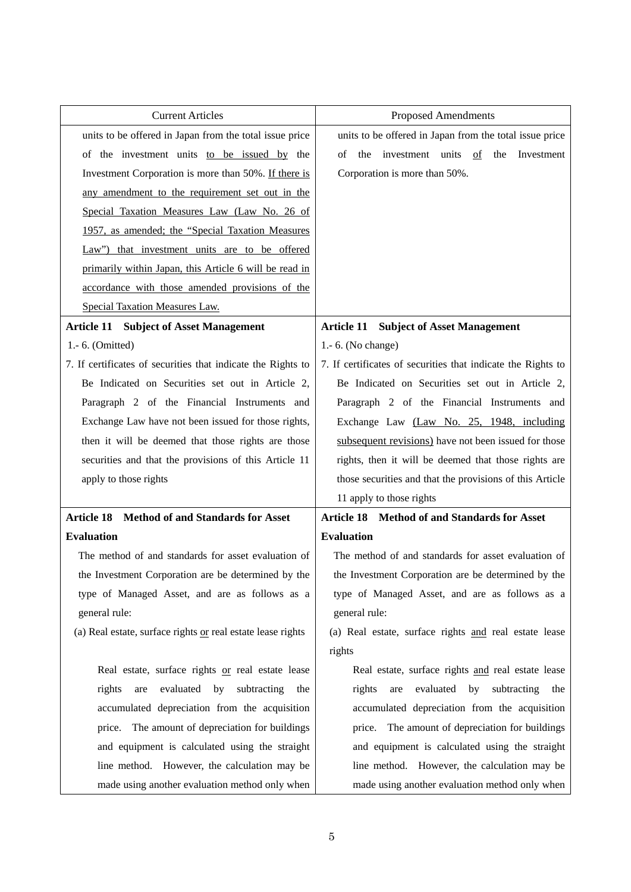| <b>Current Articles</b>                                      | <b>Proposed Amendments</b>                                   |  |  |
|--------------------------------------------------------------|--------------------------------------------------------------|--|--|
| units to be offered in Japan from the total issue price      | units to be offered in Japan from the total issue price      |  |  |
| of the investment units to be issued by the                  | the investment units of<br>the<br>Investment<br>οf           |  |  |
| Investment Corporation is more than 50%. If there is         | Corporation is more than 50%.                                |  |  |
| any amendment to the requirement set out in the              |                                                              |  |  |
| Special Taxation Measures Law (Law No. 26 of                 |                                                              |  |  |
| 1957, as amended; the "Special Taxation Measures             |                                                              |  |  |
| Law") that investment units are to be offered                |                                                              |  |  |
| primarily within Japan, this Article 6 will be read in       |                                                              |  |  |
| accordance with those amended provisions of the              |                                                              |  |  |
| Special Taxation Measures Law.                               |                                                              |  |  |
| <b>Article 11 Subject of Asset Management</b>                | <b>Article 11 Subject of Asset Management</b>                |  |  |
| 1.-6. (Omitted)                                              | 1.-6. (No change)                                            |  |  |
| 7. If certificates of securities that indicate the Rights to | 7. If certificates of securities that indicate the Rights to |  |  |
| Be Indicated on Securities set out in Article 2,             | Be Indicated on Securities set out in Article 2,             |  |  |
| Paragraph 2 of the Financial Instruments and                 | Paragraph 2 of the Financial Instruments and                 |  |  |
| Exchange Law have not been issued for those rights,          | Exchange Law (Law No. 25, 1948, including                    |  |  |
| then it will be deemed that those rights are those           | subsequent revisions) have not been issued for those         |  |  |
| securities and that the provisions of this Article 11        | rights, then it will be deemed that those rights are         |  |  |
| apply to those rights                                        | those securities and that the provisions of this Article     |  |  |
|                                                              | 11 apply to those rights                                     |  |  |
| Article 18 Method of and Standards for Asset                 | Article 18 Method of and Standards for Asset                 |  |  |
| <b>Evaluation</b>                                            | <b>Evaluation</b>                                            |  |  |
| The method of and standards for asset evaluation of          | The method of and standards for asset evaluation of          |  |  |
| the Investment Corporation are be determined by the          | the Investment Corporation are be determined by the          |  |  |
| type of Managed Asset, and are as follows as a               | type of Managed Asset, and are as follows as a               |  |  |
| general rule:                                                | general rule:                                                |  |  |
| (a) Real estate, surface rights or real estate lease rights  | (a) Real estate, surface rights and real estate lease        |  |  |
|                                                              | rights                                                       |  |  |
| Real estate, surface rights or real estate lease             | Real estate, surface rights and real estate lease            |  |  |
| evaluated<br>subtracting<br>rights<br>by<br>the<br>are       | evaluated<br>subtracting<br>rights<br>by<br>are<br>the       |  |  |
| accumulated depreciation from the acquisition                | accumulated depreciation from the acquisition                |  |  |
| price. The amount of depreciation for buildings              | price. The amount of depreciation for buildings              |  |  |
| and equipment is calculated using the straight               | and equipment is calculated using the straight               |  |  |
| line method. However, the calculation may be                 | line method. However, the calculation may be                 |  |  |
| made using another evaluation method only when               | made using another evaluation method only when               |  |  |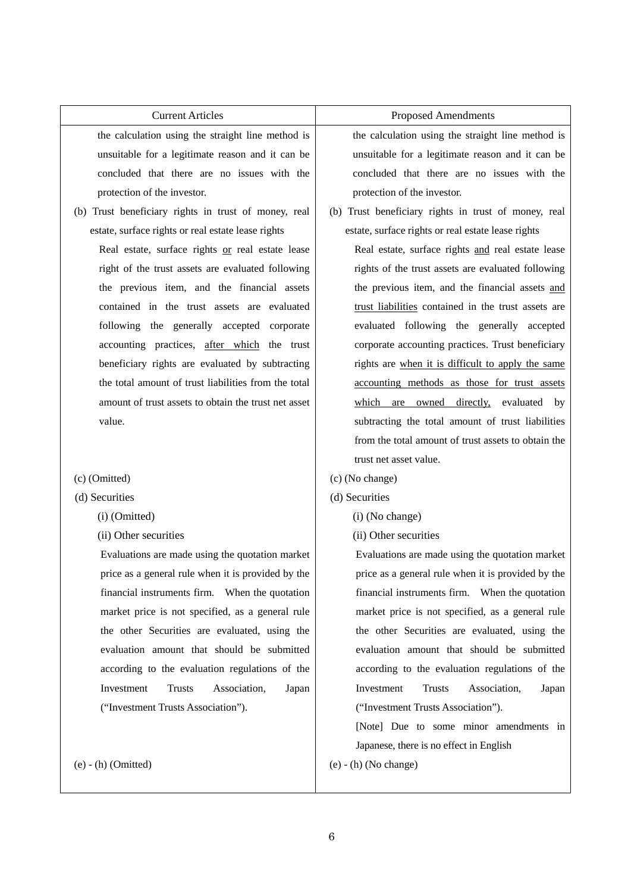| <b>Current Articles</b>                              | <b>Proposed Amendments</b>                           |  |  |
|------------------------------------------------------|------------------------------------------------------|--|--|
| the calculation using the straight line method is    | the calculation using the straight line method is    |  |  |
| unsuitable for a legitimate reason and it can be     | unsuitable for a legitimate reason and it can be     |  |  |
| concluded that there are no issues with the          | concluded that there are no issues with the          |  |  |
| protection of the investor.                          | protection of the investor.                          |  |  |
| (b) Trust beneficiary rights in trust of money, real | (b) Trust beneficiary rights in trust of money, real |  |  |
| estate, surface rights or real estate lease rights   | estate, surface rights or real estate lease rights   |  |  |
| Real estate, surface rights or real estate lease     | Real estate, surface rights and real estate lease    |  |  |
| right of the trust assets are evaluated following    | rights of the trust assets are evaluated following   |  |  |
| the previous item, and the financial assets          | the previous item, and the financial assets and      |  |  |
| contained in the trust assets are evaluated          | trust liabilities contained in the trust assets are  |  |  |
| following the generally accepted corporate           | evaluated following the generally accepted           |  |  |
| accounting practices, after which the trust          | corporate accounting practices. Trust beneficiary    |  |  |
| beneficiary rights are evaluated by subtracting      | rights are when it is difficult to apply the same    |  |  |
| the total amount of trust liabilities from the total | accounting methods as those for trust assets         |  |  |
| amount of trust assets to obtain the trust net asset | which are owned directly, evaluated by               |  |  |
| value.                                               | subtracting the total amount of trust liabilities    |  |  |
|                                                      | from the total amount of trust assets to obtain the  |  |  |
|                                                      | trust net asset value.                               |  |  |
| (c) (Omitted)                                        | (c) (No change)                                      |  |  |
| (d) Securities                                       | (d) Securities                                       |  |  |
| (i) (Omitted)                                        | (i) (No change)                                      |  |  |
| (ii) Other securities                                | (ii) Other securities                                |  |  |
| Evaluations are made using the quotation market      | Evaluations are made using the quotation market      |  |  |
| price as a general rule when it is provided by the   | price as a general rule when it is provided by the   |  |  |
| financial instruments firm. When the quotation       | financial instruments firm. When the quotation       |  |  |
| market price is not specified, as a general rule     | market price is not specified, as a general rule     |  |  |

the other Securities are evaluated, using the evaluation amount that should be submitted according to the evaluation regulations of the Investment Trusts Association, Japan ("Investment Trusts Association").

(e) - (h) (Omitted)

the other Securities are evaluated, using the evaluation amount that should be submitted according to the evaluation regulations of the Investment Trusts Association, Japan ("Investment Trusts Association").

[Note] Due to some minor amendments in Japanese, there is no effect in English

(e) - (h) (No change)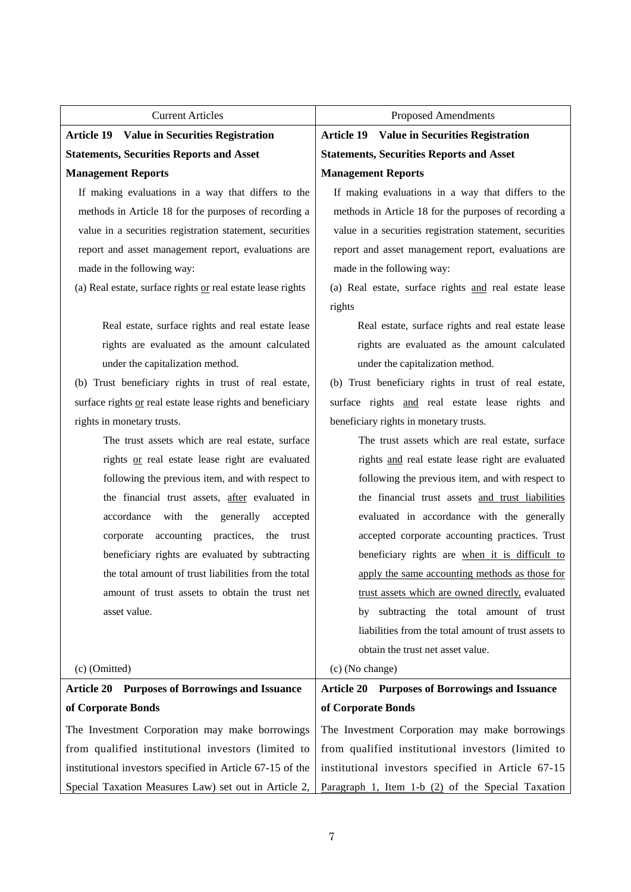| <b>Current Articles</b>                                     | Proposed Amendments                                      |  |  |
|-------------------------------------------------------------|----------------------------------------------------------|--|--|
| <b>Article 19 Value in Securities Registration</b>          | <b>Article 19 Value in Securities Registration</b>       |  |  |
| <b>Statements, Securities Reports and Asset</b>             | <b>Statements, Securities Reports and Asset</b>          |  |  |
| <b>Management Reports</b>                                   | <b>Management Reports</b>                                |  |  |
| If making evaluations in a way that differs to the          | If making evaluations in a way that differs to the       |  |  |
| methods in Article 18 for the purposes of recording a       | methods in Article 18 for the purposes of recording a    |  |  |
| value in a securities registration statement, securities    | value in a securities registration statement, securities |  |  |
| report and asset management report, evaluations are         | report and asset management report, evaluations are      |  |  |
| made in the following way:                                  | made in the following way:                               |  |  |
| (a) Real estate, surface rights or real estate lease rights | (a) Real estate, surface rights and real estate lease    |  |  |
|                                                             | rights                                                   |  |  |
| Real estate, surface rights and real estate lease           | Real estate, surface rights and real estate lease        |  |  |
| rights are evaluated as the amount calculated               | rights are evaluated as the amount calculated            |  |  |
| under the capitalization method.                            | under the capitalization method.                         |  |  |
| (b) Trust beneficiary rights in trust of real estate,       | (b) Trust beneficiary rights in trust of real estate,    |  |  |
| surface rights or real estate lease rights and beneficiary  | surface rights and real estate lease rights and          |  |  |
| rights in monetary trusts.                                  | beneficiary rights in monetary trusts.                   |  |  |
| The trust assets which are real estate, surface             | The trust assets which are real estate, surface          |  |  |
| rights or real estate lease right are evaluated             | rights and real estate lease right are evaluated         |  |  |
| following the previous item, and with respect to            | following the previous item, and with respect to         |  |  |
| the financial trust assets, after evaluated in              | the financial trust assets and trust liabilities         |  |  |
| accordance with<br>the<br>generally<br>accepted             | evaluated in accordance with the generally               |  |  |
| corporate accounting practices,<br>the<br>trust             | accepted corporate accounting practices. Trust           |  |  |
| beneficiary rights are evaluated by subtracting             | beneficiary rights are when it is difficult to           |  |  |
| the total amount of trust liabilities from the total        | apply the same accounting methods as those for           |  |  |
| amount of trust assets to obtain the trust net              | trust assets which are owned directly, evaluated         |  |  |
| asset value.                                                | by subtracting the total amount of trust                 |  |  |
|                                                             | liabilities from the total amount of trust assets to     |  |  |
|                                                             | obtain the trust net asset value.                        |  |  |
| $(c)$ (Omitted)                                             | (c) (No change)                                          |  |  |
| <b>Article 20 Purposes of Borrowings and Issuance</b>       | <b>Article 20 Purposes of Borrowings and Issuance</b>    |  |  |
| of Corporate Bonds                                          | of Corporate Bonds                                       |  |  |
| The Investment Corporation may make borrowings              | The Investment Corporation may make borrowings           |  |  |
| from qualified institutional investors (limited to          | from qualified institutional investors (limited to       |  |  |
| institutional investors specified in Article 67-15 of the   | institutional investors specified in Article 67-15       |  |  |
| Special Taxation Measures Law) set out in Article 2,        | Paragraph 1, Item $1-b(2)$ of the Special Taxation       |  |  |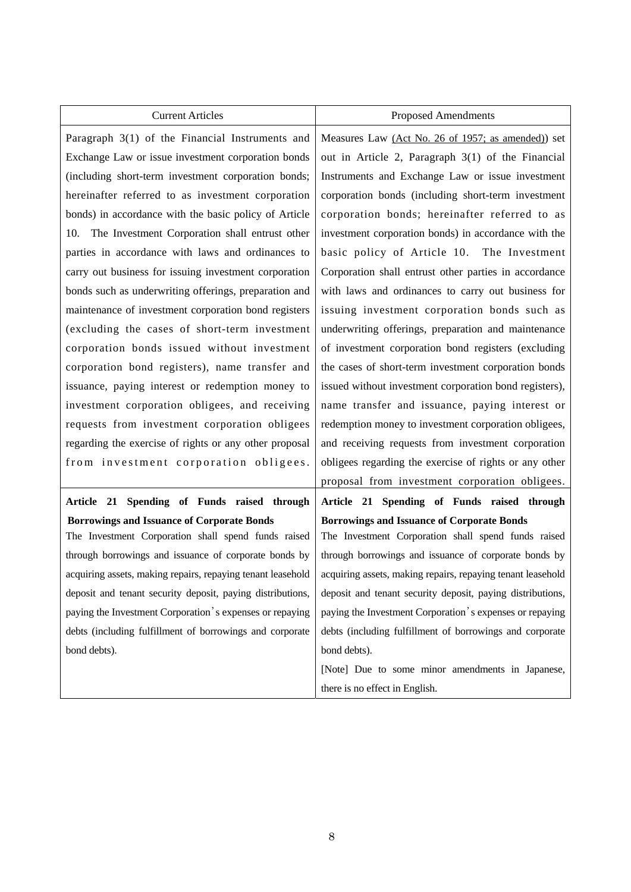| <b>Current Articles</b>                                     | <b>Proposed Amendments</b>                                  |  |  |
|-------------------------------------------------------------|-------------------------------------------------------------|--|--|
| Paragraph 3(1) of the Financial Instruments and             | Measures Law (Act No. 26 of 1957; as amended)) set          |  |  |
| Exchange Law or issue investment corporation bonds          | out in Article 2, Paragraph 3(1) of the Financial           |  |  |
| (including short-term investment corporation bonds;         | Instruments and Exchange Law or issue investment            |  |  |
| hereinafter referred to as investment corporation           | corporation bonds (including short-term investment          |  |  |
| bonds) in accordance with the basic policy of Article       | corporation bonds; hereinafter referred to as               |  |  |
| The Investment Corporation shall entrust other<br>10.       | investment corporation bonds) in accordance with the        |  |  |
| parties in accordance with laws and ordinances to           | basic policy of Article 10. The Investment                  |  |  |
| carry out business for issuing investment corporation       | Corporation shall entrust other parties in accordance       |  |  |
| bonds such as underwriting offerings, preparation and       | with laws and ordinances to carry out business for          |  |  |
| maintenance of investment corporation bond registers        | issuing investment corporation bonds such as                |  |  |
| (excluding the cases of short-term investment               | underwriting offerings, preparation and maintenance         |  |  |
| corporation bonds issued without investment                 | of investment corporation bond registers (excluding         |  |  |
| corporation bond registers), name transfer and              | the cases of short-term investment corporation bonds        |  |  |
| issuance, paying interest or redemption money to            | issued without investment corporation bond registers),      |  |  |
| investment corporation obligees, and receiving              | name transfer and issuance, paying interest or              |  |  |
| requests from investment corporation obligees               | redemption money to investment corporation obligees,        |  |  |
| regarding the exercise of rights or any other proposal      | and receiving requests from investment corporation          |  |  |
| from investment corporation obligees.                       | obligees regarding the exercise of rights or any other      |  |  |
|                                                             | proposal from investment corporation obligees.              |  |  |
| Article 21 Spending of Funds raised through                 | Article 21 Spending of Funds raised through                 |  |  |
| <b>Borrowings and Issuance of Corporate Bonds</b>           | <b>Borrowings and Issuance of Corporate Bonds</b>           |  |  |
| The Investment Corporation shall spend funds raised         | The Investment Corporation shall spend funds raised         |  |  |
| through borrowings and issuance of corporate bonds by       | through borrowings and issuance of corporate bonds by       |  |  |
| acquiring assets, making repairs, repaying tenant leasehold | acquiring assets, making repairs, repaying tenant leasehold |  |  |
| deposit and tenant security deposit, paying distributions,  | deposit and tenant security deposit, paying distributions,  |  |  |
| paying the Investment Corporation's expenses or repaying    | paying the Investment Corporation's expenses or repaying    |  |  |
| debts (including fulfillment of borrowings and corporate    | debts (including fulfillment of borrowings and corporate    |  |  |
| bond debts).                                                | bond debts).                                                |  |  |
|                                                             | [Note] Due to some minor amendments in Japanese,            |  |  |
|                                                             | there is no effect in English.                              |  |  |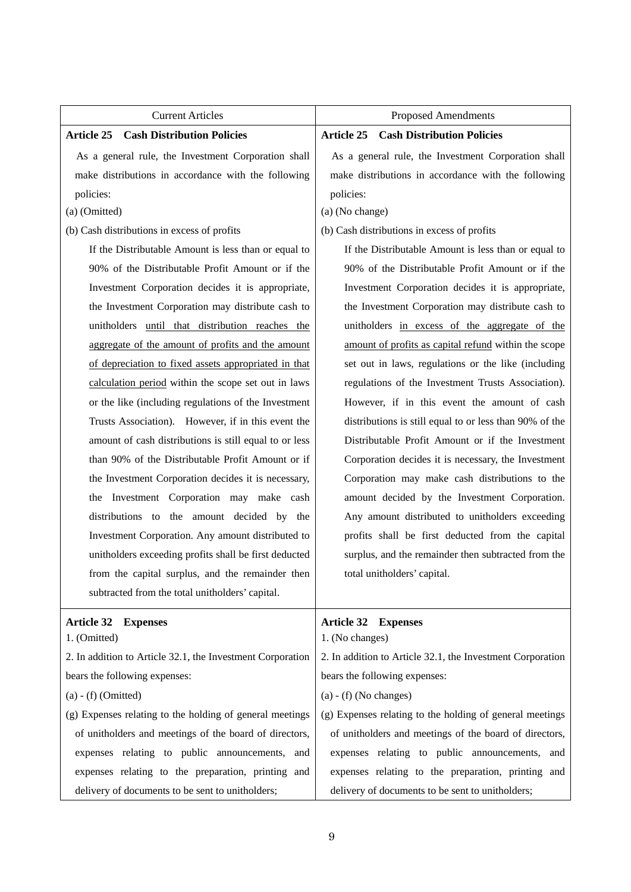| <b>Current Articles</b>                                    | <b>Proposed Amendments</b>                                 |  |  |
|------------------------------------------------------------|------------------------------------------------------------|--|--|
| <b>Cash Distribution Policies</b><br><b>Article 25</b>     | <b>Cash Distribution Policies</b><br><b>Article 25</b>     |  |  |
| As a general rule, the Investment Corporation shall        | As a general rule, the Investment Corporation shall        |  |  |
| make distributions in accordance with the following        | make distributions in accordance with the following        |  |  |
| policies:                                                  | policies:                                                  |  |  |
| (a) (Omitted)                                              | (a) (No change)                                            |  |  |
| (b) Cash distributions in excess of profits                | (b) Cash distributions in excess of profits                |  |  |
| If the Distributable Amount is less than or equal to       | If the Distributable Amount is less than or equal to       |  |  |
| 90% of the Distributable Profit Amount or if the           | 90% of the Distributable Profit Amount or if the           |  |  |
| Investment Corporation decides it is appropriate,          | Investment Corporation decides it is appropriate,          |  |  |
| the Investment Corporation may distribute cash to          | the Investment Corporation may distribute cash to          |  |  |
| unitholders until that distribution reaches the            | unitholders in excess of the aggregate of the              |  |  |
| aggregate of the amount of profits and the amount          | amount of profits as capital refund within the scope       |  |  |
| of depreciation to fixed assets appropriated in that       | set out in laws, regulations or the like (including        |  |  |
| calculation period within the scope set out in laws        | regulations of the Investment Trusts Association).         |  |  |
| or the like (including regulations of the Investment       | However, if in this event the amount of cash               |  |  |
| Trusts Association). However, if in this event the         | distributions is still equal to or less than 90% of the    |  |  |
| amount of cash distributions is still equal to or less     | Distributable Profit Amount or if the Investment           |  |  |
| than 90% of the Distributable Profit Amount or if          | Corporation decides it is necessary, the Investment        |  |  |
| the Investment Corporation decides it is necessary,        | Corporation may make cash distributions to the             |  |  |
| Investment Corporation may make cash<br>the                | amount decided by the Investment Corporation.              |  |  |
| distributions to the amount decided by the                 | Any amount distributed to unitholders exceeding            |  |  |
| Investment Corporation. Any amount distributed to          | profits shall be first deducted from the capital           |  |  |
| unitholders exceeding profits shall be first deducted      | surplus, and the remainder then subtracted from the        |  |  |
| from the capital surplus, and the remainder then           | total unitholders' capital.                                |  |  |
| subtracted from the total unitholders' capital.            |                                                            |  |  |
| <b>Article 32</b><br><b>Expenses</b>                       | <b>Article 32 Expenses</b>                                 |  |  |
| 1. (Omitted)                                               | 1. (No changes)                                            |  |  |
| 2. In addition to Article 32.1, the Investment Corporation | 2. In addition to Article 32.1, the Investment Corporation |  |  |
| bears the following expenses:                              | bears the following expenses:                              |  |  |
| $(a) - (f)$ (Omitted)                                      | $(a) - (f)$ (No changes)                                   |  |  |
| (g) Expenses relating to the holding of general meetings   | (g) Expenses relating to the holding of general meetings   |  |  |
| of unitholders and meetings of the board of directors,     | of unitholders and meetings of the board of directors,     |  |  |
| expenses relating to public announcements, and             | expenses relating to public announcements, and             |  |  |
| expenses relating to the preparation, printing and         | expenses relating to the preparation, printing and         |  |  |
| delivery of documents to be sent to unitholders;           | delivery of documents to be sent to unitholders;           |  |  |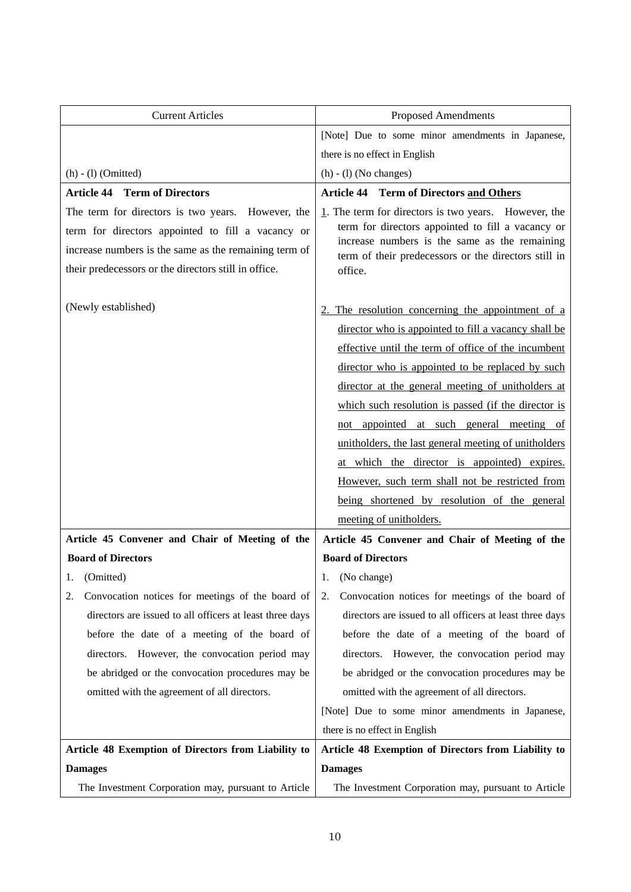| <b>Current Articles</b>                                                                                                                                                                                                                                                                                                  | <b>Proposed Amendments</b>                                                                                                                                                                                                                                                                                                                                                                                                                                                                                                                                                                                      |
|--------------------------------------------------------------------------------------------------------------------------------------------------------------------------------------------------------------------------------------------------------------------------------------------------------------------------|-----------------------------------------------------------------------------------------------------------------------------------------------------------------------------------------------------------------------------------------------------------------------------------------------------------------------------------------------------------------------------------------------------------------------------------------------------------------------------------------------------------------------------------------------------------------------------------------------------------------|
|                                                                                                                                                                                                                                                                                                                          | [Note] Due to some minor amendments in Japanese,                                                                                                                                                                                                                                                                                                                                                                                                                                                                                                                                                                |
|                                                                                                                                                                                                                                                                                                                          | there is no effect in English                                                                                                                                                                                                                                                                                                                                                                                                                                                                                                                                                                                   |
| $(h) - (1)$ (Omitted)                                                                                                                                                                                                                                                                                                    | $(h) - (1)$ (No changes)                                                                                                                                                                                                                                                                                                                                                                                                                                                                                                                                                                                        |
| <b>Article 44 Term of Directors</b>                                                                                                                                                                                                                                                                                      | <b>Article 44 Term of Directors and Others</b>                                                                                                                                                                                                                                                                                                                                                                                                                                                                                                                                                                  |
| The term for directors is two years. However, the<br>term for directors appointed to fill a vacancy or<br>increase numbers is the same as the remaining term of<br>their predecessors or the directors still in office.                                                                                                  | $1$ . The term for directors is two years. However, the<br>term for directors appointed to fill a vacancy or<br>increase numbers is the same as the remaining<br>term of their predecessors or the directors still in<br>office.                                                                                                                                                                                                                                                                                                                                                                                |
| (Newly established)                                                                                                                                                                                                                                                                                                      | The resolution concerning the appointment of a<br>director who is appointed to fill a vacancy shall be<br>effective until the term of office of the incumbent<br>director who is appointed to be replaced by such<br>director at the general meeting of unitholders at<br>which such resolution is passed (if the director is<br>not appointed at such general meeting of<br>unitholders, the last general meeting of unitholders<br>at which the director is appointed) expires.<br>However, such term shall not be restricted from<br>being shortened by resolution of the general<br>meeting of unitholders. |
| Article 45 Convener and Chair of Meeting of the                                                                                                                                                                                                                                                                          | Article 45 Convener and Chair of Meeting of the                                                                                                                                                                                                                                                                                                                                                                                                                                                                                                                                                                 |
| <b>Board of Directors</b>                                                                                                                                                                                                                                                                                                | <b>Board of Directors</b>                                                                                                                                                                                                                                                                                                                                                                                                                                                                                                                                                                                       |
| 1. (Omitted)                                                                                                                                                                                                                                                                                                             | 1. (No change)                                                                                                                                                                                                                                                                                                                                                                                                                                                                                                                                                                                                  |
| Convocation notices for meetings of the board of<br>2.<br>directors are issued to all officers at least three days<br>before the date of a meeting of the board of<br>directors. However, the convocation period may<br>be abridged or the convocation procedures may be<br>omitted with the agreement of all directors. | Convocation notices for meetings of the board of<br>2.<br>directors are issued to all officers at least three days<br>before the date of a meeting of the board of<br>directors. However, the convocation period may<br>be abridged or the convocation procedures may be<br>omitted with the agreement of all directors.<br>[Note] Due to some minor amendments in Japanese,<br>there is no effect in English                                                                                                                                                                                                   |
| Article 48 Exemption of Directors from Liability to                                                                                                                                                                                                                                                                      | Article 48 Exemption of Directors from Liability to                                                                                                                                                                                                                                                                                                                                                                                                                                                                                                                                                             |
| <b>Damages</b>                                                                                                                                                                                                                                                                                                           | <b>Damages</b>                                                                                                                                                                                                                                                                                                                                                                                                                                                                                                                                                                                                  |
| The Investment Corporation may, pursuant to Article                                                                                                                                                                                                                                                                      | The Investment Corporation may, pursuant to Article                                                                                                                                                                                                                                                                                                                                                                                                                                                                                                                                                             |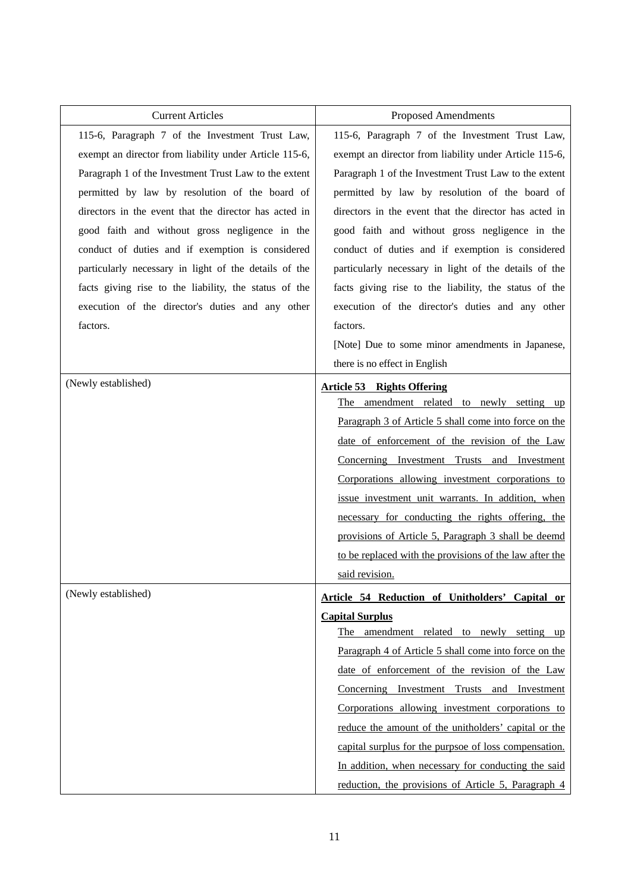| <b>Current Articles</b>                                | Proposed Amendments                                     |
|--------------------------------------------------------|---------------------------------------------------------|
| 115-6, Paragraph 7 of the Investment Trust Law,        | 115-6, Paragraph 7 of the Investment Trust Law,         |
| exempt an director from liability under Article 115-6, | exempt an director from liability under Article 115-6,  |
| Paragraph 1 of the Investment Trust Law to the extent  | Paragraph 1 of the Investment Trust Law to the extent   |
| permitted by law by resolution of the board of         | permitted by law by resolution of the board of          |
| directors in the event that the director has acted in  | directors in the event that the director has acted in   |
| good faith and without gross negligence in the         | good faith and without gross negligence in the          |
| conduct of duties and if exemption is considered       | conduct of duties and if exemption is considered        |
| particularly necessary in light of the details of the  | particularly necessary in light of the details of the   |
| facts giving rise to the liability, the status of the  | facts giving rise to the liability, the status of the   |
| execution of the director's duties and any other       | execution of the director's duties and any other        |
| factors.                                               | factors.                                                |
|                                                        | [Note] Due to some minor amendments in Japanese,        |
|                                                        | there is no effect in English                           |
| (Newly established)                                    | <b>Article 53 Rights Offering</b>                       |
|                                                        | The amendment related to newly setting up               |
|                                                        | Paragraph 3 of Article 5 shall come into force on the   |
|                                                        | date of enforcement of the revision of the Law          |
|                                                        | Concerning Investment Trusts and Investment             |
|                                                        | Corporations allowing investment corporations to        |
|                                                        | issue investment unit warrants. In addition, when       |
|                                                        | necessary for conducting the rights offering, the       |
|                                                        | provisions of Article 5, Paragraph 3 shall be deemd     |
|                                                        | to be replaced with the provisions of the law after the |
|                                                        | said revision.                                          |
| (Newly established)                                    | Article 54 Reduction of Unitholders' Capital or         |
|                                                        | <b>Capital Surplus</b>                                  |
|                                                        | The amendment related to newly setting up               |
|                                                        | Paragraph 4 of Article 5 shall come into force on the   |
|                                                        | date of enforcement of the revision of the Law          |
|                                                        | Concerning Investment Trusts and Investment             |
|                                                        | Corporations allowing investment corporations to        |
|                                                        | reduce the amount of the unitholders' capital or the    |
|                                                        | capital surplus for the purpsoe of loss compensation.   |
|                                                        | In addition, when necessary for conducting the said     |
|                                                        | reduction, the provisions of Article 5, Paragraph 4     |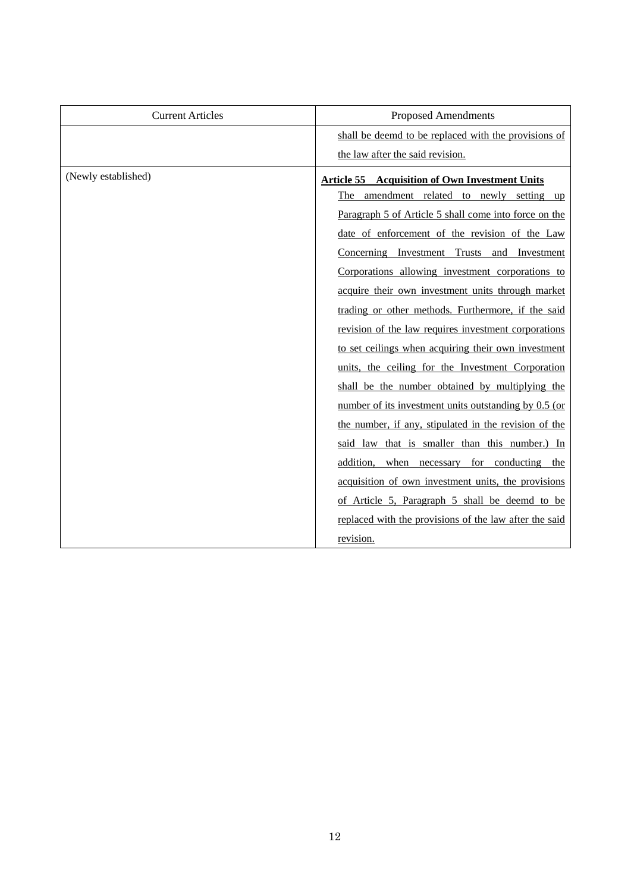| <b>Current Articles</b> | <b>Proposed Amendments</b>                             |
|-------------------------|--------------------------------------------------------|
|                         | shall be deemd to be replaced with the provisions of   |
|                         | the law after the said revision.                       |
| (Newly established)     | <b>Article 55 Acquisition of Own Investment Units</b>  |
|                         | The amendment related to newly setting up              |
|                         | Paragraph 5 of Article 5 shall come into force on the  |
|                         | date of enforcement of the revision of the Law         |
|                         | Concerning Investment Trusts and Investment            |
|                         | Corporations allowing investment corporations to       |
|                         | acquire their own investment units through market      |
|                         | trading or other methods. Furthermore, if the said     |
|                         | revision of the law requires investment corporations   |
|                         | to set ceilings when acquiring their own investment    |
|                         | units, the ceiling for the Investment Corporation      |
|                         | shall be the number obtained by multiplying the        |
|                         | number of its investment units outstanding by 0.5 (or  |
|                         | the number, if any, stipulated in the revision of the  |
|                         | said law that is smaller than this number.) In         |
|                         | addition, when necessary for conducting the            |
|                         | acquisition of own investment units, the provisions    |
|                         | of Article 5, Paragraph 5 shall be deemd to be         |
|                         | replaced with the provisions of the law after the said |
|                         | revision.                                              |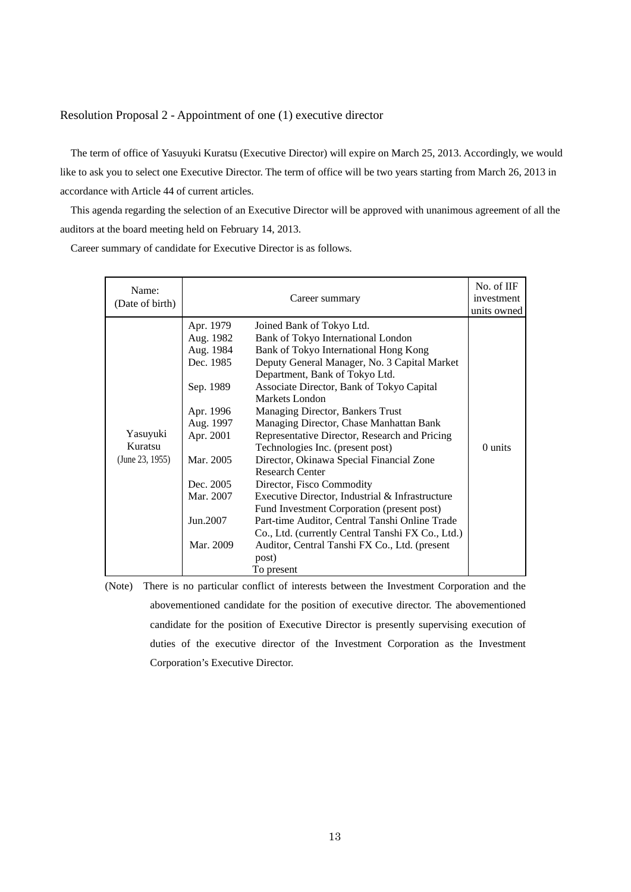#### Resolution Proposal 2 - Appointment of one (1) executive director

The term of office of Yasuyuki Kuratsu (Executive Director) will expire on March 25, 2013. Accordingly, we would like to ask you to select one Executive Director. The term of office will be two years starting from March 26, 2013 in accordance with Article 44 of current articles.

This agenda regarding the selection of an Executive Director will be approved with unanimous agreement of all the auditors at the board meeting held on February 14, 2013.

Career summary of candidate for Executive Director is as follows.

| Name:<br>(Date of birth)               |                                                                                                                                                                      | No. of IIF<br>investment<br>units owned                                                                                                                                                                                                                                                                                                                                                                                                                                                                                                                                                                                                                                                                                                                                                                          |         |
|----------------------------------------|----------------------------------------------------------------------------------------------------------------------------------------------------------------------|------------------------------------------------------------------------------------------------------------------------------------------------------------------------------------------------------------------------------------------------------------------------------------------------------------------------------------------------------------------------------------------------------------------------------------------------------------------------------------------------------------------------------------------------------------------------------------------------------------------------------------------------------------------------------------------------------------------------------------------------------------------------------------------------------------------|---------|
| Yasuyuki<br>Kuratsu<br>(June 23, 1955) | Apr. 1979<br>Aug. 1982<br>Aug. 1984<br>Dec. 1985<br>Sep. 1989<br>Apr. 1996<br>Aug. 1997<br>Apr. 2001<br>Mar. 2005<br>Dec. 2005<br>Mar. 2007<br>Jun.2007<br>Mar. 2009 | Joined Bank of Tokyo Ltd.<br>Bank of Tokyo International London<br>Bank of Tokyo International Hong Kong<br>Deputy General Manager, No. 3 Capital Market<br>Department, Bank of Tokyo Ltd.<br>Associate Director, Bank of Tokyo Capital<br>Markets London<br>Managing Director, Bankers Trust<br>Managing Director, Chase Manhattan Bank<br>Representative Director, Research and Pricing<br>Technologies Inc. (present post)<br>Director, Okinawa Special Financial Zone<br><b>Research Center</b><br>Director, Fisco Commodity<br>Executive Director, Industrial & Infrastructure<br>Fund Investment Corporation (present post)<br>Part-time Auditor, Central Tanshi Online Trade<br>Co., Ltd. (currently Central Tanshi FX Co., Ltd.)<br>Auditor, Central Tanshi FX Co., Ltd. (present<br>post)<br>To present | 0 units |

(Note) There is no particular conflict of interests between the Investment Corporation and the abovementioned candidate for the position of executive director. The abovementioned candidate for the position of Executive Director is presently supervising execution of duties of the executive director of the Investment Corporation as the Investment Corporation's Executive Director.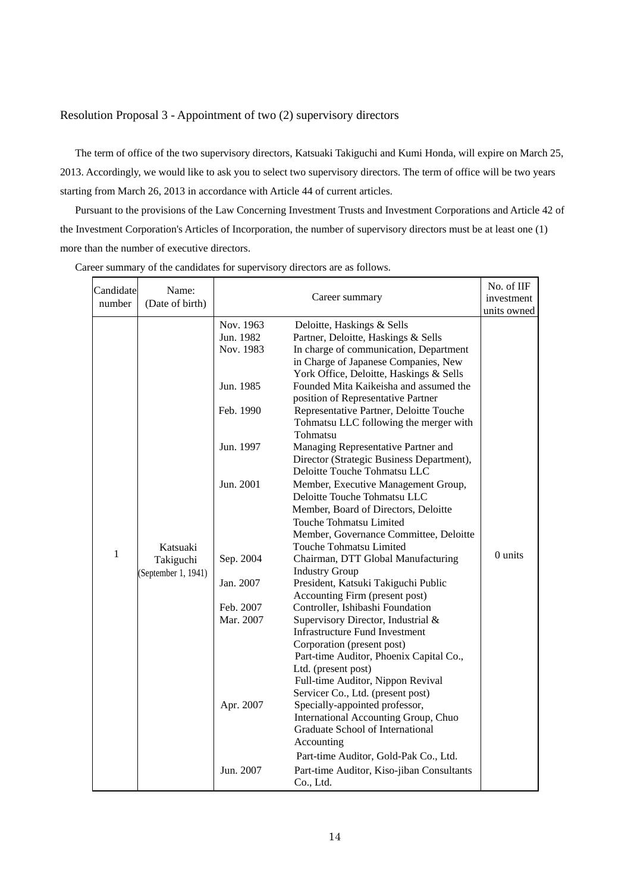## Resolution Proposal 3 - Appointment of two (2) supervisory directors

The term of office of the two supervisory directors, Katsuaki Takiguchi and Kumi Honda, will expire on March 25, 2013. Accordingly, we would like to ask you to select two supervisory directors. The term of office will be two years starting from March 26, 2013 in accordance with Article 44 of current articles.

Pursuant to the provisions of the Law Concerning Investment Trusts and Investment Corporations and Article 42 of the Investment Corporation's Articles of Incorporation, the number of supervisory directors must be at least one (1) more than the number of executive directors.

| Candidate<br>number | Name:<br>(Date of birth)                     | Career summary                                                                                                                                           |                                                                                                                                                                                                                                                                                                                                                                                                                                                                                                                                                                                                                                                                                                                                                                                                                                                                                                                                                                                                                                                                                                                                                                                                                                                                       | No. of IIF<br>investment |
|---------------------|----------------------------------------------|----------------------------------------------------------------------------------------------------------------------------------------------------------|-----------------------------------------------------------------------------------------------------------------------------------------------------------------------------------------------------------------------------------------------------------------------------------------------------------------------------------------------------------------------------------------------------------------------------------------------------------------------------------------------------------------------------------------------------------------------------------------------------------------------------------------------------------------------------------------------------------------------------------------------------------------------------------------------------------------------------------------------------------------------------------------------------------------------------------------------------------------------------------------------------------------------------------------------------------------------------------------------------------------------------------------------------------------------------------------------------------------------------------------------------------------------|--------------------------|
| $\mathbf{1}$        | Katsuaki<br>Takiguchi<br>(September 1, 1941) | Nov. 1963<br>Jun. 1982<br>Nov. 1983<br>Jun. 1985<br>Feb. 1990<br>Jun. 1997<br>Jun. 2001<br>Sep. 2004<br>Jan. 2007<br>Feb. 2007<br>Mar. 2007<br>Apr. 2007 | Deloitte, Haskings & Sells<br>Partner, Deloitte, Haskings & Sells<br>In charge of communication, Department<br>in Charge of Japanese Companies, New<br>York Office, Deloitte, Haskings & Sells<br>Founded Mita Kaikeisha and assumed the<br>position of Representative Partner<br>Representative Partner, Deloitte Touche<br>Tohmatsu LLC following the merger with<br>Tohmatsu<br>Managing Representative Partner and<br>Director (Strategic Business Department),<br>Deloitte Touche Tohmatsu LLC<br>Member, Executive Management Group,<br>Deloitte Touche Tohmatsu LLC<br>Member, Board of Directors, Deloitte<br>Touche Tohmatsu Limited<br>Member, Governance Committee, Deloitte<br>Touche Tohmatsu Limited<br>Chairman, DTT Global Manufacturing<br><b>Industry Group</b><br>President, Katsuki Takiguchi Public<br>Accounting Firm (present post)<br>Controller, Ishibashi Foundation<br>Supervisory Director, Industrial &<br><b>Infrastructure Fund Investment</b><br>Corporation (present post)<br>Part-time Auditor, Phoenix Capital Co.,<br>Ltd. (present post)<br>Full-time Auditor, Nippon Revival<br>Servicer Co., Ltd. (present post)<br>Specially-appointed professor,<br>International Accounting Group, Chuo<br>Graduate School of International | units owned<br>0 units   |
|                     |                                              | Jun. 2007                                                                                                                                                | Accounting<br>Part-time Auditor, Gold-Pak Co., Ltd.<br>Part-time Auditor, Kiso-jiban Consultants<br>Co., Ltd.                                                                                                                                                                                                                                                                                                                                                                                                                                                                                                                                                                                                                                                                                                                                                                                                                                                                                                                                                                                                                                                                                                                                                         |                          |

Career summary of the candidates for supervisory directors are as follows.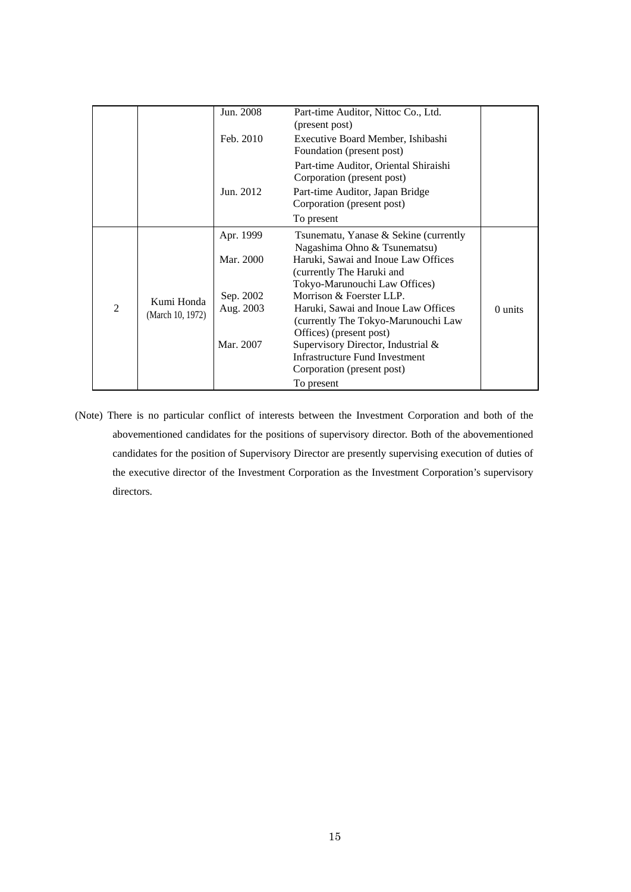|                |                                | Jun. 2008 | Part-time Auditor, Nittoc Co., Ltd.<br>(present post)                       |         |
|----------------|--------------------------------|-----------|-----------------------------------------------------------------------------|---------|
|                |                                | Feb. 2010 | Executive Board Member, Ishibashi<br>Foundation (present post)              |         |
|                |                                |           | Part-time Auditor, Oriental Shiraishi<br>Corporation (present post)         |         |
|                |                                | Jun. 2012 | Part-time Auditor, Japan Bridge<br>Corporation (present post)               |         |
|                |                                |           | To present                                                                  |         |
|                |                                | Apr. 1999 | Tsunematu, Yanase & Sekine (currently<br>Nagashima Ohno & Tsunematsu)       |         |
|                |                                | Mar. 2000 | Haruki, Sawai and Inoue Law Offices<br>(currently The Haruki and            |         |
|                |                                | Sep. 2002 | Tokyo-Marunouchi Law Offices)<br>Morrison & Foerster LLP.                   |         |
| $\mathfrak{D}$ | Kumi Honda<br>(March 10, 1972) | Aug. 2003 | Haruki, Sawai and Inoue Law Offices<br>(currently The Tokyo-Marunouchi Law) | 0 units |
|                |                                |           | Offices) (present post)                                                     |         |
|                |                                | Mar. 2007 | Supervisory Director, Industrial &                                          |         |
|                |                                |           | <b>Infrastructure Fund Investment</b>                                       |         |
|                |                                |           | Corporation (present post)                                                  |         |
|                |                                |           | To present                                                                  |         |

(Note) There is no particular conflict of interests between the Investment Corporation and both of the abovementioned candidates for the positions of supervisory director. Both of the abovementioned candidates for the position of Supervisory Director are presently supervising execution of duties of the executive director of the Investment Corporation as the Investment Corporation's supervisory directors.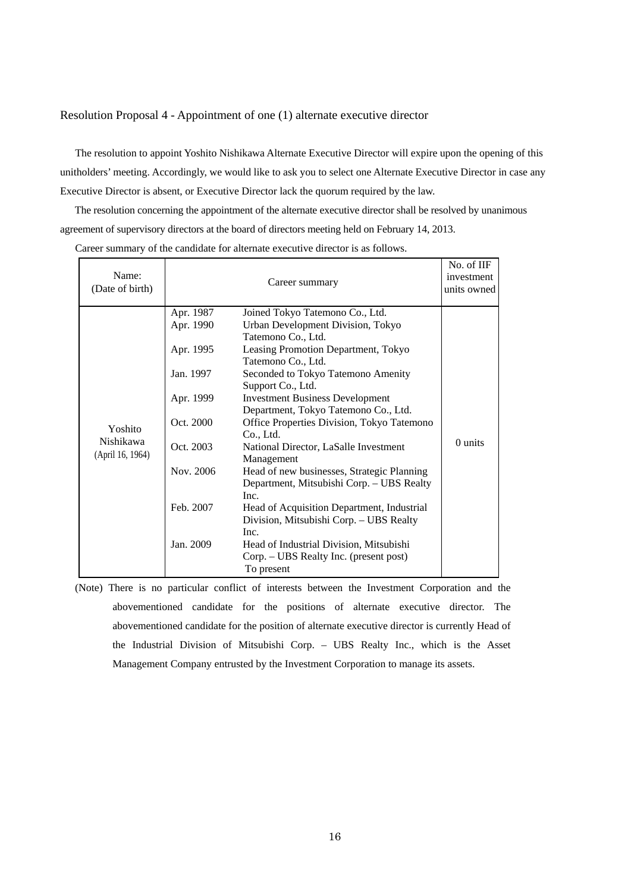#### Resolution Proposal 4 - Appointment of one (1) alternate executive director

The resolution to appoint Yoshito Nishikawa Alternate Executive Director will expire upon the opening of this unitholders' meeting. Accordingly, we would like to ask you to select one Alternate Executive Director in case any Executive Director is absent, or Executive Director lack the quorum required by the law.

The resolution concerning the appointment of the alternate executive director shall be resolved by unanimous agreement of supervisory directors at the board of directors meeting held on February 14, 2013.

Career summary of the candidate for alternate executive director is as follows.

| Name:<br>(Date of birth)                        |                                                                                                                                | Career summary                                                                                                                                                                                                                                                                                                                                                                                                                                                                                                                                                                                                                                                                                                                | No. of IIF<br>investment<br>units owned |
|-------------------------------------------------|--------------------------------------------------------------------------------------------------------------------------------|-------------------------------------------------------------------------------------------------------------------------------------------------------------------------------------------------------------------------------------------------------------------------------------------------------------------------------------------------------------------------------------------------------------------------------------------------------------------------------------------------------------------------------------------------------------------------------------------------------------------------------------------------------------------------------------------------------------------------------|-----------------------------------------|
| Yoshito<br><b>Nishikawa</b><br>(April 16, 1964) | Apr. 1987<br>Apr. 1990<br>Apr. 1995<br>Jan. 1997<br>Apr. 1999<br>Oct. 2000<br>Oct. 2003<br>Nov. 2006<br>Feb. 2007<br>Jan. 2009 | Joined Tokyo Tatemono Co., Ltd.<br>Urban Development Division, Tokyo<br>Tatemono Co., Ltd.<br>Leasing Promotion Department, Tokyo<br>Tatemono Co., Ltd.<br>Seconded to Tokyo Tatemono Amenity<br>Support Co., Ltd.<br><b>Investment Business Development</b><br>Department, Tokyo Tatemono Co., Ltd.<br>Office Properties Division, Tokyo Tatemono<br>Co., Ltd.<br>National Director, LaSalle Investment<br>Management<br>Head of new businesses, Strategic Planning<br>Department, Mitsubishi Corp. - UBS Realty<br>Inc.<br>Head of Acquisition Department, Industrial<br>Division, Mitsubishi Corp. - UBS Realty<br>Inc.<br>Head of Industrial Division, Mitsubishi<br>Corp. – UBS Realty Inc. (present post)<br>To present | $0$ units                               |

(Note) There is no particular conflict of interests between the Investment Corporation and the abovementioned candidate for the positions of alternate executive director. The abovementioned candidate for the position of alternate executive director is currently Head of the Industrial Division of Mitsubishi Corp. – UBS Realty Inc., which is the Asset Management Company entrusted by the Investment Corporation to manage its assets.